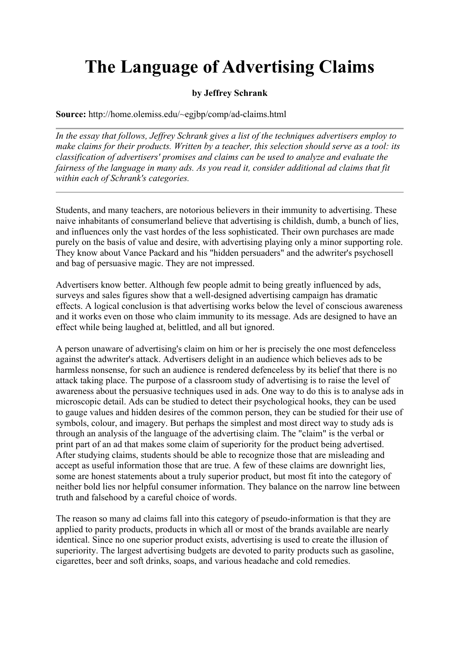# **The Language of Advertising Claims**

#### **by Jeffrey Schrank**

**Source:** http://home.olemiss.edu/~egjbp/comp/ad-claims.html

*In the essay that follows, Jeffrey Schrank gives a list of the techniques advertisers employ to make claims for their products. Written by a teacher, this selection should serve as a tool: its classification of advertisers' promises and claims can be used to analyze and evaluate the fairness of the language in many ads. As you read it, consider additional ad claims that fit within each of Schrank's categories.*

Students, and many teachers, are notorious believers in their immunity to advertising. These naive inhabitants of consumerland believe that advertising is childish, dumb, a bunch of lies, and influences only the vast hordes of the less sophisticated. Their own purchases are made purely on the basis of value and desire, with advertising playing only a minor supporting role. They know about Vance Packard and his "hidden persuaders" and the adwriter's psychosell and bag of persuasive magic. They are not impressed.

Advertisers know better. Although few people admit to being greatly influenced by ads, surveys and sales figures show that a well-designed advertising campaign has dramatic effects. A logical conclusion is that advertising works below the level of conscious awareness and it works even on those who claim immunity to its message. Ads are designed to have an effect while being laughed at, belittled, and all but ignored.

A person unaware of advertising's claim on him or her is precisely the one most defenceless against the adwriter's attack. Advertisers delight in an audience which believes ads to be harmless nonsense, for such an audience is rendered defenceless by its belief that there is no attack taking place. The purpose of a classroom study of advertising is to raise the level of awareness about the persuasive techniques used in ads. One way to do this is to analyse ads in microscopic detail. Ads can be studied to detect their psychological hooks, they can be used to gauge values and hidden desires of the common person, they can be studied for their use of symbols, colour, and imagery. But perhaps the simplest and most direct way to study ads is through an analysis of the language of the advertising claim. The "claim" is the verbal or print part of an ad that makes some claim of superiority for the product being advertised. After studying claims, students should be able to recognize those that are misleading and accept as useful information those that are true. A few of these claims are downright lies, some are honest statements about a truly superior product, but most fit into the category of neither bold lies nor helpful consumer information. They balance on the narrow line between truth and falsehood by a careful choice of words.

The reason so many ad claims fall into this category of pseudo-information is that they are applied to parity products, products in which all or most of the brands available are nearly identical. Since no one superior product exists, advertising is used to create the illusion of superiority. The largest advertising budgets are devoted to parity products such as gasoline, cigarettes, beer and soft drinks, soaps, and various headache and cold remedies.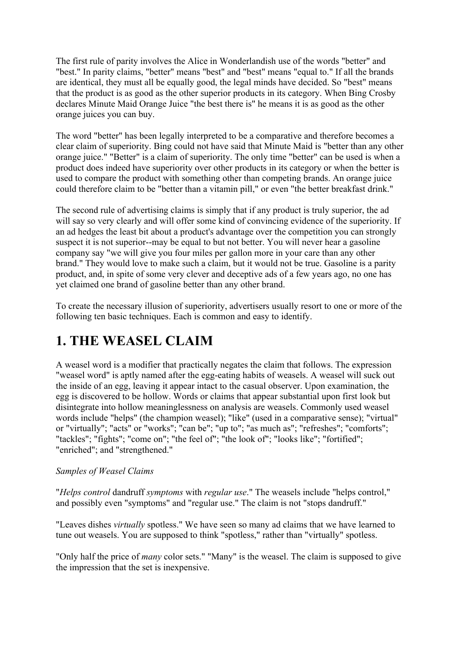The first rule of parity involves the Alice in Wonderlandish use of the words "better" and "best." In parity claims, "better" means "best" and "best" means "equal to." If all the brands are identical, they must all be equally good, the legal minds have decided. So "best" means that the product is as good as the other superior products in its category. When Bing Crosby declares Minute Maid Orange Juice "the best there is" he means it is as good as the other orange juices you can buy.

The word "better" has been legally interpreted to be a comparative and therefore becomes a clear claim of superiority. Bing could not have said that Minute Maid is "better than any other orange juice." "Better" is a claim of superiority. The only time "better" can be used is when a product does indeed have superiority over other products in its category or when the better is used to compare the product with something other than competing brands. An orange juice could therefore claim to be "better than a vitamin pill," or even "the better breakfast drink."

The second rule of advertising claims is simply that if any product is truly superior, the ad will say so very clearly and will offer some kind of convincing evidence of the superiority. If an ad hedges the least bit about a product's advantage over the competition you can strongly suspect it is not superior--may be equal to but not better. You will never hear a gasoline company say "we will give you four miles per gallon more in your care than any other brand." They would love to make such a claim, but it would not be true. Gasoline is a parity product, and, in spite of some very clever and deceptive ads of a few years ago, no one has yet claimed one brand of gasoline better than any other brand.

To create the necessary illusion of superiority, advertisers usually resort to one or more of the following ten basic techniques. Each is common and easy to identify.

# **1. THE WEASEL CLAIM**

A weasel word is a modifier that practically negates the claim that follows. The expression "weasel word" is aptly named after the egg-eating habits of weasels. A weasel will suck out the inside of an egg, leaving it appear intact to the casual observer. Upon examination, the egg is discovered to be hollow. Words or claims that appear substantial upon first look but disintegrate into hollow meaninglessness on analysis are weasels. Commonly used weasel words include "helps" (the champion weasel); "like" (used in a comparative sense); "virtual" or "virtually"; "acts" or "works"; "can be"; "up to"; "as much as"; "refreshes"; "comforts"; "tackles"; "fights"; "come on"; "the feel of"; "the look of"; "looks like"; "fortified"; "enriched"; and "strengthened."

#### *Samples of Weasel Claims*

"*Helps control* dandruff *symptoms* with *regular use*." The weasels include "helps control," and possibly even "symptoms" and "regular use." The claim is not "stops dandruff."

"Leaves dishes *virtually* spotless." We have seen so many ad claims that we have learned to tune out weasels. You are supposed to think "spotless," rather than "virtually" spotless.

"Only half the price of *many* color sets." "Many" is the weasel. The claim is supposed to give the impression that the set is inexpensive.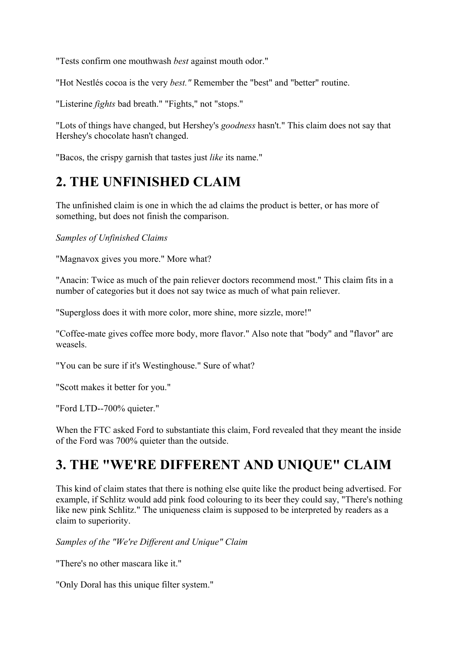"Tests confirm one mouthwash *best* against mouth odor."

"Hot Nestlés cocoa is the very *best."* Remember the "best" and "better" routine.

"Listerine *fights* bad breath." "Fights," not "stops."

"Lots of things have changed, but Hershey's *goodness* hasn't." This claim does not say that Hershey's chocolate hasn't changed.

"Bacos, the crispy garnish that tastes just *like* its name."

# **2. THE UNFINISHED CLAIM**

The unfinished claim is one in which the ad claims the product is better, or has more of something, but does not finish the comparison.

#### *Samples of Unfinished Claims*

"Magnavox gives you more." More what?

"Anacin: Twice as much of the pain reliever doctors recommend most." This claim fits in a number of categories but it does not say twice as much of what pain reliever.

"Supergloss does it with more color, more shine, more sizzle, more!"

"Coffee-mate gives coffee more body, more flavor." Also note that "body" and "flavor" are weasels.

"You can be sure if it's Westinghouse." Sure of what?

"Scott makes it better for you."

"Ford LTD--700% quieter."

When the FTC asked Ford to substantiate this claim, Ford revealed that they meant the inside of the Ford was 700% quieter than the outside.

# **3. THE "WE'RE DIFFERENT AND UNIQUE" CLAIM**

This kind of claim states that there is nothing else quite like the product being advertised. For example, if Schlitz would add pink food colouring to its beer they could say, "There's nothing like new pink Schlitz." The uniqueness claim is supposed to be interpreted by readers as a claim to superiority.

*Samples of the "We're Different and Unique" Claim*

"There's no other mascara like it."

"Only Doral has this unique filter system."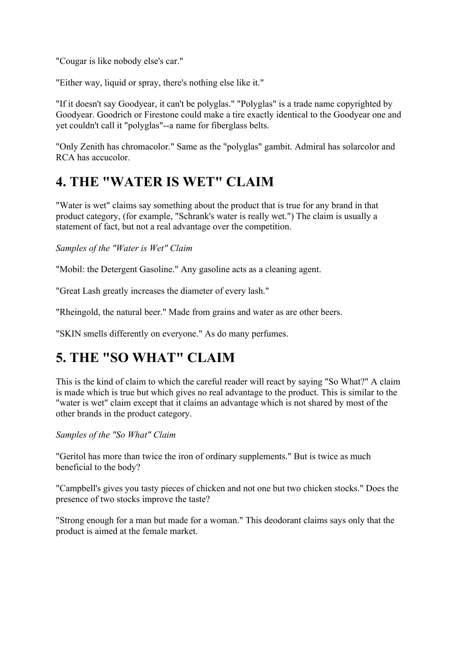"Cougar is like nobody else's car."

"Either way, liquid or spray, there's nothing else like it."

"If it doesn't say Goodyear, it can't be polyglas." "Polyglas" is a trade name copyrighted by Goodyear. Goodrich or Firestone could make a tire exactly identical to the Goodyear one and yet couldn't call it "polyglas"--a name for fiberglass belts.

"Only Zenith has chromacolor." Same as the "polyglas" gambit. Admiral has solarcolor and RCA has accucolor.

# **4. THE "WATER IS WET" CLAIM**

"Water is wet" claims say something about the product that is true for any brand in that product category, (for example, "Schrank's water is really wet.") The claim is usually a statement of fact, but not a real advantage over the competition.

*Samples of the "Water is Wet" Claim*

"Mobil: the Detergent Gasoline." Any gasoline acts as a cleaning agent.

"Great Lash greatly increases the diameter of every lash."

"Rheingold, the natural beer." Made from grains and water as are other beers.

"SKIN smells differently on everyone." As do many perfumes.

# **5. THE "SO WHAT" CLAIM**

This is the kind of claim to which the careful reader will react by saying "So What?" A claim is made which is true but which gives no real advantage to the product. This is similar to the "water is wet" claim except that it claims an advantage which is not shared by most of the other brands in the product category.

*Samples of the "So What" Claim*

"Geritol has more than twice the iron of ordinary supplements." But is twice as much beneficial to the body?

"Campbell's gives you tasty pieces of chicken and not one but two chicken stocks." Does the presence of two stocks improve the taste?

"Strong enough for a man but made for a woman." This deodorant claims says only that the product is aimed at the female market.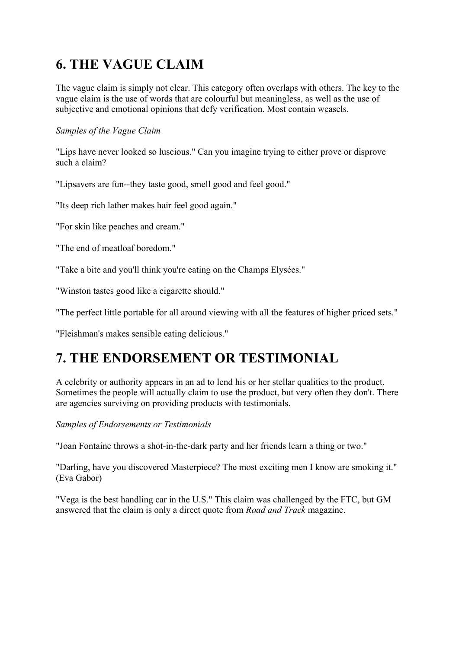# **6. THE VAGUE CLAIM**

The vague claim is simply not clear. This category often overlaps with others. The key to the vague claim is the use of words that are colourful but meaningless, as well as the use of subjective and emotional opinions that defy verification. Most contain weasels.

#### *Samples of the Vague Claim*

"Lips have never looked so luscious." Can you imagine trying to either prove or disprove such a claim?

"Lipsavers are fun--they taste good, smell good and feel good."

"Its deep rich lather makes hair feel good again."

"For skin like peaches and cream."

"The end of meatloaf boredom"

"Take a bite and you'll think you're eating on the Champs Elysées."

"Winston tastes good like a cigarette should."

"The perfect little portable for all around viewing with all the features of higher priced sets."

"Fleishman's makes sensible eating delicious."

# **7. THE ENDORSEMENT OR TESTIMONIAL**

A celebrity or authority appears in an ad to lend his or her stellar qualities to the product. Sometimes the people will actually claim to use the product, but very often they don't. There are agencies surviving on providing products with testimonials.

*Samples of Endorsements or Testimonials*

"Joan Fontaine throws a shot-in-the-dark party and her friends learn a thing or two."

"Darling, have you discovered Masterpiece? The most exciting men I know are smoking it." (Eva Gabor)

"Vega is the best handling car in the U.S." This claim was challenged by the FTC, but GM answered that the claim is only a direct quote from *Road and Track* magazine.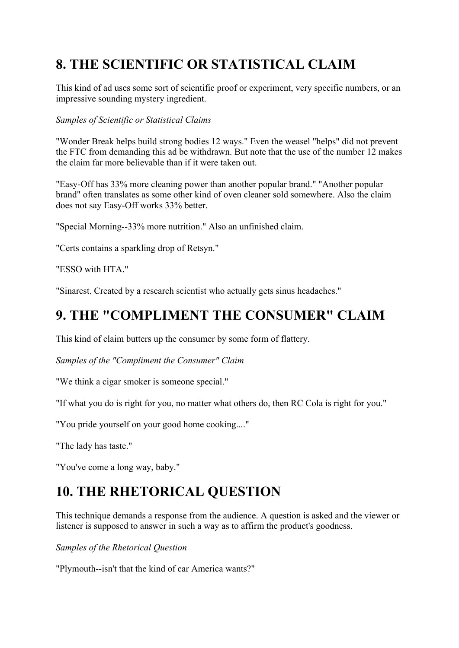# **8. THE SCIENTIFIC OR STATISTICAL CLAIM**

This kind of ad uses some sort of scientific proof or experiment, very specific numbers, or an impressive sounding mystery ingredient.

*Samples of Scientific or Statistical Claims*

"Wonder Break helps build strong bodies 12 ways." Even the weasel "helps" did not prevent the FTC from demanding this ad be withdrawn. But note that the use of the number 12 makes the claim far more believable than if it were taken out.

"Easy-Off has 33% more cleaning power than another popular brand." "Another popular brand" often translates as some other kind of oven cleaner sold somewhere. Also the claim does not say Easy-Off works 33% better.

"Special Morning--33% more nutrition." Also an unfinished claim.

"Certs contains a sparkling drop of Retsyn."

"ESSO with HTA."

"Sinarest. Created by a research scientist who actually gets sinus headaches."

### **9. THE "COMPLIMENT THE CONSUMER" CLAIM**

This kind of claim butters up the consumer by some form of flattery.

*Samples of the "Compliment the Consumer" Claim*

"We think a cigar smoker is someone special."

"If what you do is right for you, no matter what others do, then RC Cola is right for you."

"You pride yourself on your good home cooking...."

"The lady has taste."

"You've come a long way, baby."

### **10. THE RHETORICAL QUESTION**

This technique demands a response from the audience. A question is asked and the viewer or listener is supposed to answer in such a way as to affirm the product's goodness.

*Samples of the Rhetorical Question*

"Plymouth--isn't that the kind of car America wants?"